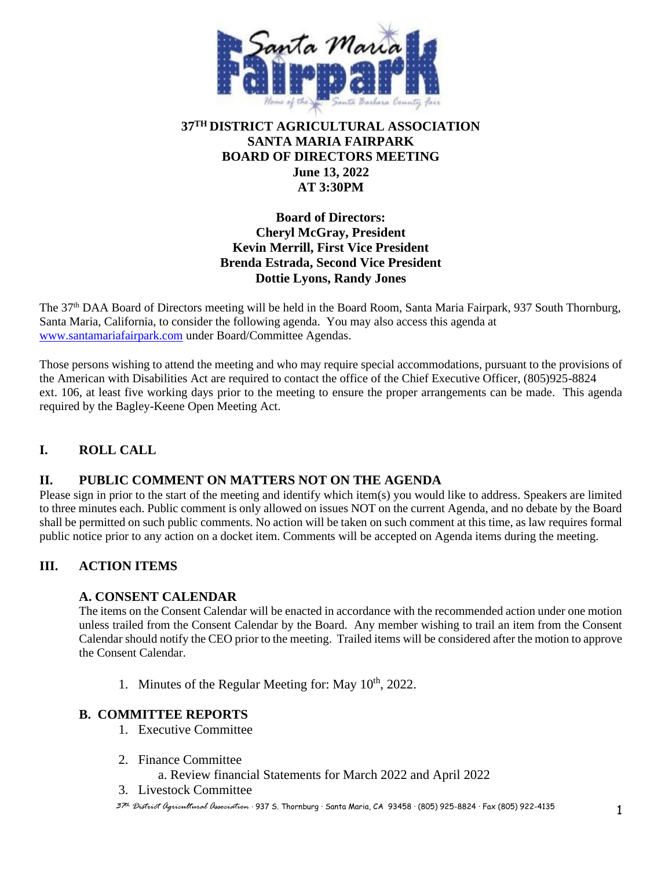

## **37TH DISTRICT AGRICULTURAL ASSOCIATION SANTA MARIA FAIRPARK BOARD OF DIRECTORS MEETING June 13, 2022 AT 3:30PM**

## **Board of Directors: Cheryl McGray, President Kevin Merrill, First Vice President Brenda Estrada, Second Vice President Dottie Lyons, Randy Jones**

The 37th DAA Board of Directors meeting will be held in the Board Room, Santa Maria Fairpark, 937 South Thornburg, Santa Maria, California, to consider the following agenda. You may also access this agenda at [www.santamariafairpark.com](http://www.santamariafairpark.com/) under Board/Committee Agendas.

Those persons wishing to attend the meeting and who may require special accommodations, pursuant to the provisions of the American with Disabilities Act are required to contact the office of the Chief Executive Officer, (805)925-8824 ext. 106, at least five working days prior to the meeting to ensure the proper arrangements can be made. This agenda required by the Bagley-Keene Open Meeting Act.

# **I. ROLL CALL**

## **II. PUBLIC COMMENT ON MATTERS NOT ON THE AGENDA**

Please sign in prior to the start of the meeting and identify which item(s) you would like to address. Speakers are limited to three minutes each. Public comment is only allowed on issues NOT on the current Agenda, and no debate by the Board shall be permitted on such public comments. No action will be taken on such comment at this time, as law requires formal public notice prior to any action on a docket item. Comments will be accepted on Agenda items during the meeting.

## **III. ACTION ITEMS**

#### **A. CONSENT CALENDAR**

The items on the Consent Calendar will be enacted in accordance with the recommended action under one motion unless trailed from the Consent Calendar by the Board. Any member wishing to trail an item from the Consent Calendar should notify the CEO prior to the meeting. Trailed items will be considered after the motion to approve the Consent Calendar.

1. Minutes of the Regular Meeting for: May  $10^{th}$ , 2022.

#### **B. COMMITTEE REPORTS**

- 1. Executive Committee
- 2. Finance Committee
	- a. Review financial Statements for March 2022 and April 2022
- 3. Livestock Committee
- *<sup>37</sup>th District Agricultural Association* · 937 S. Thornburg · Santa Maria, CA 93458 · (805) 925-8824 · Fax (805) 922-4135 1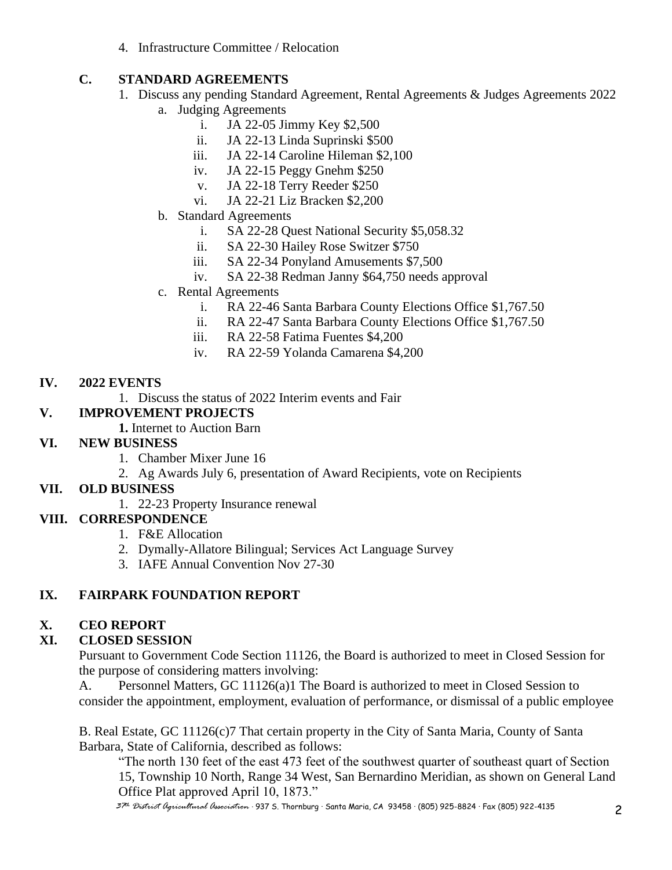4. Infrastructure Committee / Relocation

# **C. STANDARD AGREEMENTS**

- 1. Discuss any pending Standard Agreement, Rental Agreements & Judges Agreements 2022
	- a. Judging Agreements
		- i. JA 22-05 Jimmy Key \$2,500
		- ii. JA 22-13 Linda Suprinski \$500
		- iii. JA 22-14 Caroline Hileman \$2,100
		- iv. JA 22-15 Peggy Gnehm \$250
		- v. JA 22-18 Terry Reeder \$250
		- vi. JA 22-21 Liz Bracken \$2,200
	- b. Standard Agreements
		- i. SA 22-28 Quest National Security \$5,058.32
		- ii. SA 22-30 Hailey Rose Switzer \$750
		- iii. SA 22-34 Ponyland Amusements \$7,500
		- iv. SA 22-38 Redman Janny \$64,750 needs approval
	- c. Rental Agreements
		- i. RA 22-46 Santa Barbara County Elections Office \$1,767.50
		- ii. RA 22-47 Santa Barbara County Elections Office \$1,767.50
		- iii. RA 22-58 Fatima Fuentes \$4,200
		- iv. RA 22-59 Yolanda Camarena \$4,200

## **IV. 2022 EVENTS**

1. Discuss the status of 2022 Interim events and Fair

# **V. IMPROVEMENT PROJECTS**

**1.** Internet to Auction Barn

## **VI. NEW BUSINESS**

- 1. Chamber Mixer June 16
- 2. Ag Awards July 6, presentation of Award Recipients, vote on Recipients

## **VII. OLD BUSINESS**

1. 22-23 Property Insurance renewal

# **VIII. CORRESPONDENCE**

- 1. F&E Allocation
- 2. Dymally-Allatore Bilingual; Services Act Language Survey
- 3. IAFE Annual Convention Nov 27-30

# **IX. FAIRPARK FOUNDATION REPORT**

# **X. CEO REPORT**

# **XI. CLOSED SESSION**

Pursuant to Government Code Section 11126, the Board is authorized to meet in Closed Session for the purpose of considering matters involving:

A. Personnel Matters, GC 11126(a)1 The Board is authorized to meet in Closed Session to consider the appointment, employment, evaluation of performance, or dismissal of a public employee

B. Real Estate, GC 11126(c)7 That certain property in the City of Santa Maria, County of Santa Barbara, State of California, described as follows:

"The north 130 feet of the east 473 feet of the southwest quarter of southeast quart of Section 15, Township 10 North, Range 34 West, San Bernardino Meridian, as shown on General Land Office Plat approved April 10, 1873."

*<sup>37</sup>th District Agricultural Association* · 937 S. Thornburg · Santa Maria, CA 93458 · (805) 925-8824 · Fax (805) 922-4135 2